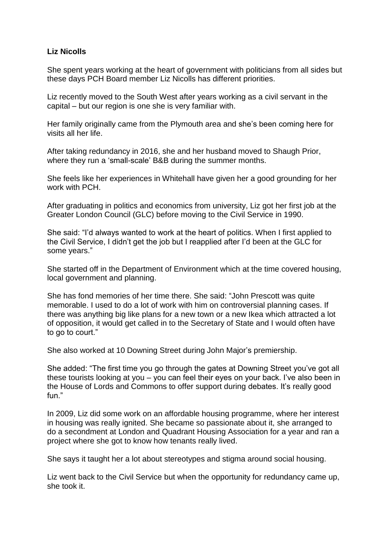## **Liz Nicolls**

She spent years working at the heart of government with politicians from all sides but these days PCH Board member Liz Nicolls has different priorities.

Liz recently moved to the South West after years working as a civil servant in the capital – but our region is one she is very familiar with.

Her family originally came from the Plymouth area and she's been coming here for visits all her life.

After taking redundancy in 2016, she and her husband moved to Shaugh Prior, where they run a 'small-scale' B&B during the summer months.

She feels like her experiences in Whitehall have given her a good grounding for her work with PCH.

After graduating in politics and economics from university, Liz got her first job at the Greater London Council (GLC) before moving to the Civil Service in 1990.

She said: "I'd always wanted to work at the heart of politics. When I first applied to the Civil Service, I didn't get the job but I reapplied after I'd been at the GLC for some years."

She started off in the Department of Environment which at the time covered housing, local government and planning.

She has fond memories of her time there. She said: "John Prescott was quite memorable. I used to do a lot of work with him on controversial planning cases. If there was anything big like plans for a new town or a new Ikea which attracted a lot of opposition, it would get called in to the Secretary of State and I would often have to go to court."

She also worked at 10 Downing Street during John Major's premiership.

She added: "The first time you go through the gates at Downing Street you've got all these tourists looking at you – you can feel their eyes on your back. I've also been in the House of Lords and Commons to offer support during debates. It's really good fun."

In 2009, Liz did some work on an affordable housing programme, where her interest in housing was really ignited. She became so passionate about it, she arranged to do a secondment at London and Quadrant Housing Association for a year and ran a project where she got to know how tenants really lived.

She says it taught her a lot about stereotypes and stigma around social housing.

Liz went back to the Civil Service but when the opportunity for redundancy came up, she took it.